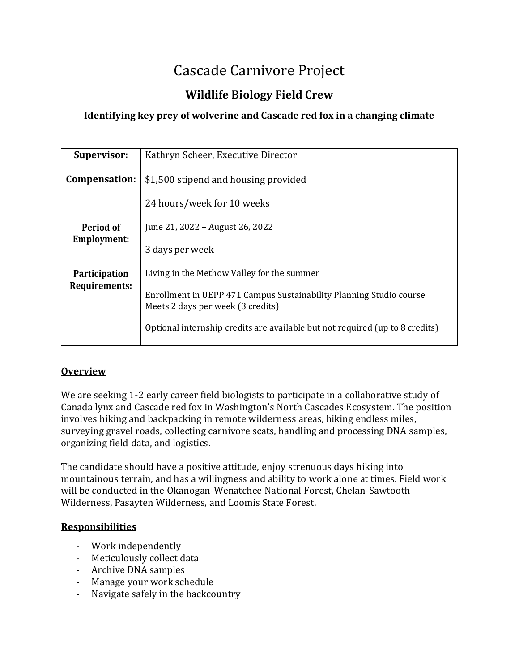# Cascade Carnivore Project

# **Wildlife Biology Field Crew**

# **Identifying key prey of wolverine and Cascade red fox in a changing climate**

| <b>Supervisor:</b>   | Kathryn Scheer, Executive Director                                                                                                                                                       |
|----------------------|------------------------------------------------------------------------------------------------------------------------------------------------------------------------------------------|
| Compensation:        | \$1,500 stipend and housing provided                                                                                                                                                     |
|                      | 24 hours/week for 10 weeks                                                                                                                                                               |
| Period of            | June 21, 2022 – August 26, 2022                                                                                                                                                          |
| <b>Employment:</b>   | 3 days per week                                                                                                                                                                          |
| Participation        | Living in the Methow Valley for the summer                                                                                                                                               |
| <b>Requirements:</b> | Enrollment in UEPP 471 Campus Sustainability Planning Studio course<br>Meets 2 days per week (3 credits)<br>Optional internship credits are available but not required (up to 8 credits) |

## **Overview**

We are seeking 1-2 early career field biologists to participate in a collaborative study of Canada lynx and Cascade red fox in Washington's North Cascades Ecosystem. The position involves hiking and backpacking in remote wilderness areas, hiking endless miles, surveying gravel roads, collecting carnivore scats, handling and processing DNA samples, organizing field data, and logistics.

The candidate should have a positive attitude, enjoy strenuous days hiking into mountainous terrain, and has a willingness and ability to work alone at times. Field work will be conducted in the Okanogan-Wenatchee National Forest, Chelan-Sawtooth Wilderness, Pasayten Wilderness, and Loomis State Forest.

## **Responsibilities**

- Work independently
- Meticulously collect data
- Archive DNA samples
- Manage your work schedule
- Navigate safely in the backcountry